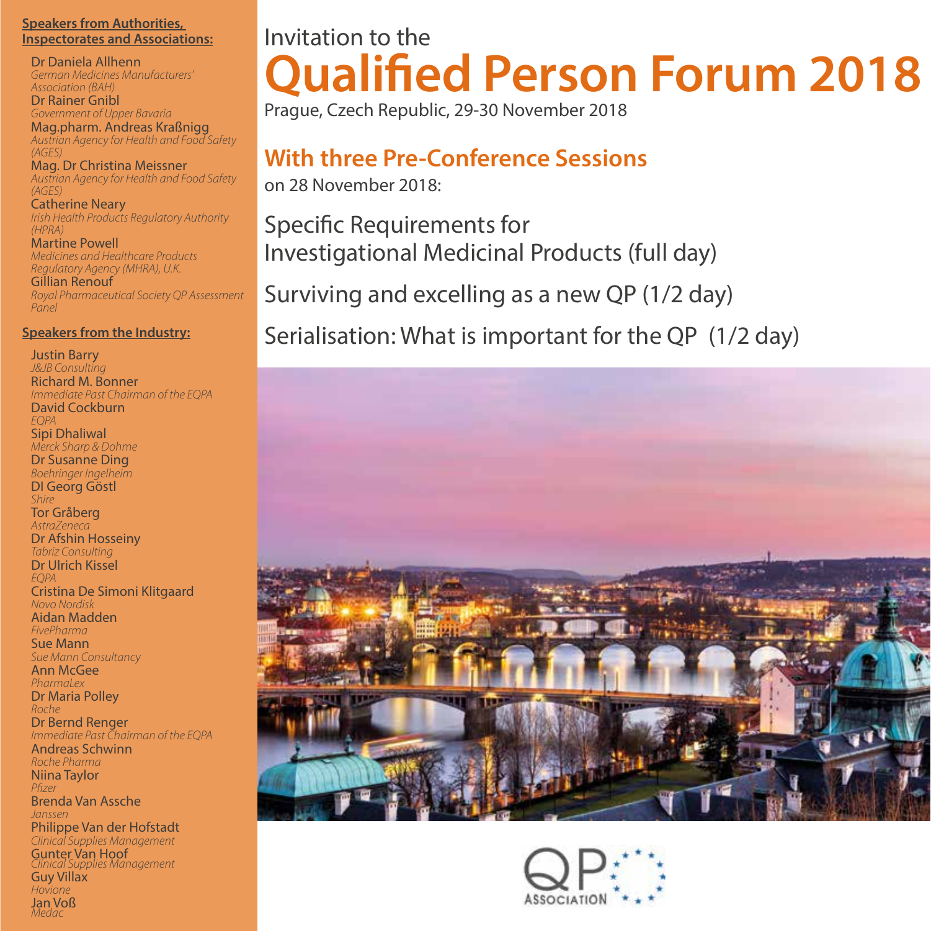#### **Speakers from Authorities, Inspectorates and Associations:**

Dr Daniela Allhenn *German Medicines Manufacturers' Association (BAH)*

Dr Rainer Gnibl *Government of Upper Bavaria* Mag.pharm. Andreas Kraßnigg *Austrian Agency for Health and Food Safety* 

*(AGES)* Mag. Dr Christina Meissner *Austrian Agency for Health and Food Safety (AGES)*

Catherine Neary *Irish Health Products Regulatory Authority (HPRA)*

Martine Powell *Medicines and Healthcare Products Regulatory Agency (MHRA), U.K.* Gillian Renouf *Royal Pharmaceutical Society QP Assessment Panel*

#### **Speakers from the Industry:**

Justin Barry *J&JB Consulting*  Richard M. Bonner *Immediate Past Chairman of the EQPA*  David Cockburn *EQPA* Sipi Dhaliwal *Merck Sharp & Dohme* Dr Susanne Ding *Boehringer Ingelheim* DI Georg Göstl *Shire* Tor Gråberg *AstraZeneca* Dr Afshin Hosseiny *Tabriz Consulting* Dr Ulrich Kissel *EQPA*  Cristina De Simoni Klitgaard *Novo Nordisk*  Aidan Madden *FivePharma* Sue Mann *Sue Mann Consultancy* Ann McGee *PharmaLex* Dr Maria Polley *Roche* Dr Bernd Renger *Immediate Past Chairman of the EQPA* Andreas Schwinn *Roche Pharma* Niina Taylor *P zer* Brenda Van Assche *Janssen*  Philippe Van der Hofstadt *Clinical Supplies Management* Gunter Van Hoof *Clinical Supplies Management*  Guy Villax *Hovione* Jan Voß *Medac*

# Invitation to the **Qualified Person Forum 2018**

Prague, Czech Republic, 29-30 November 2018

# **With three Pre-Conference Sessions**

on 28 November 2018:

Specific Requirements for Investigational Medicinal Products (full day)

Surviving and excelling as a new QP (1/2 day)

Serialisation: What is important for the QP (1/2 day)



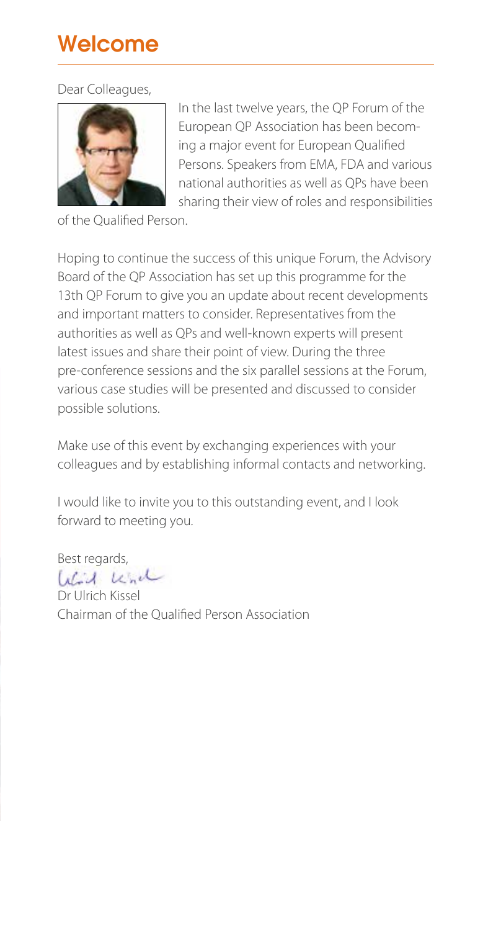### Welcome

Dear Colleagues,



In the last twelve years, the QP Forum of the European QP Association has been becoming a major event for European Qualified Persons. Speakers from EMA, FDA and various national authorities as well as QPs have been sharing their view of roles and responsibilities

of the Qualified Person.

Hoping to continue the success of this unique Forum, the Advisory Board of the QP Association has set up this programme for the 13th QP Forum to give you an update about recent developments and important matters to consider. Representatives from the authorities as well as QPs and well-known experts will present latest issues and share their point of view. During the three pre-conference sessions and the six parallel sessions at the Forum, various case studies will be presented and discussed to consider possible solutions.

Make use of this event by exchanging experiences with your colleagues and by establishing informal contacts and networking.

I would like to invite you to this outstanding event, and I look forward to meeting you.

Best regards, Wird und

Dr Ulrich Kissel Chairman of the Qualified Person Association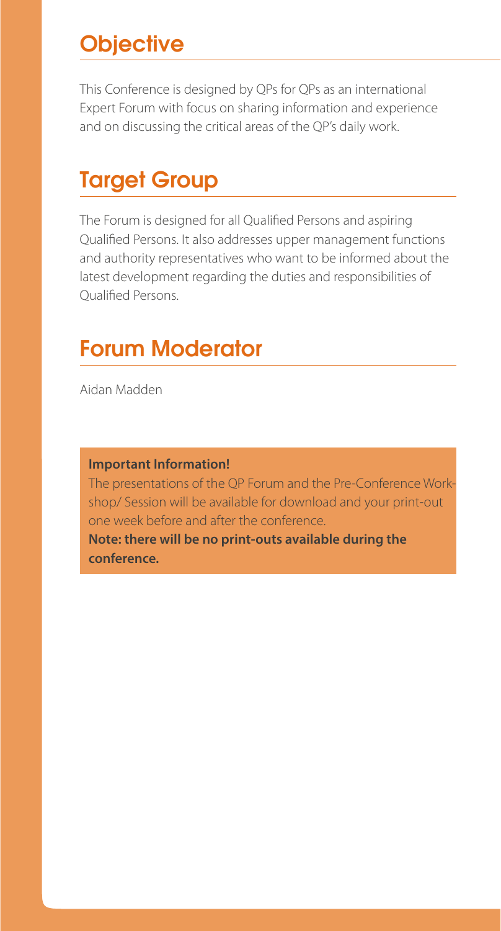### **Objective**

This Conference is designed by QPs for QPs as an international Expert Forum with focus on sharing information and experience and on discussing the critical areas of the QP's daily work.

### Target Group

The Forum is designed for all Qualified Persons and aspiring Qualified Persons. It also addresses upper management functions and authority representatives who want to be informed about the latest development regarding the duties and responsibilities of Qualified Persons.

### Forum Moderator

Aidan Madden

#### **Important Information!**

The presentations of the QP Forum and the Pre-Conference Workshop/ Session will be available for download and your print-out one week before and after the conference. **Note: there will be no print-outs available during the conference.**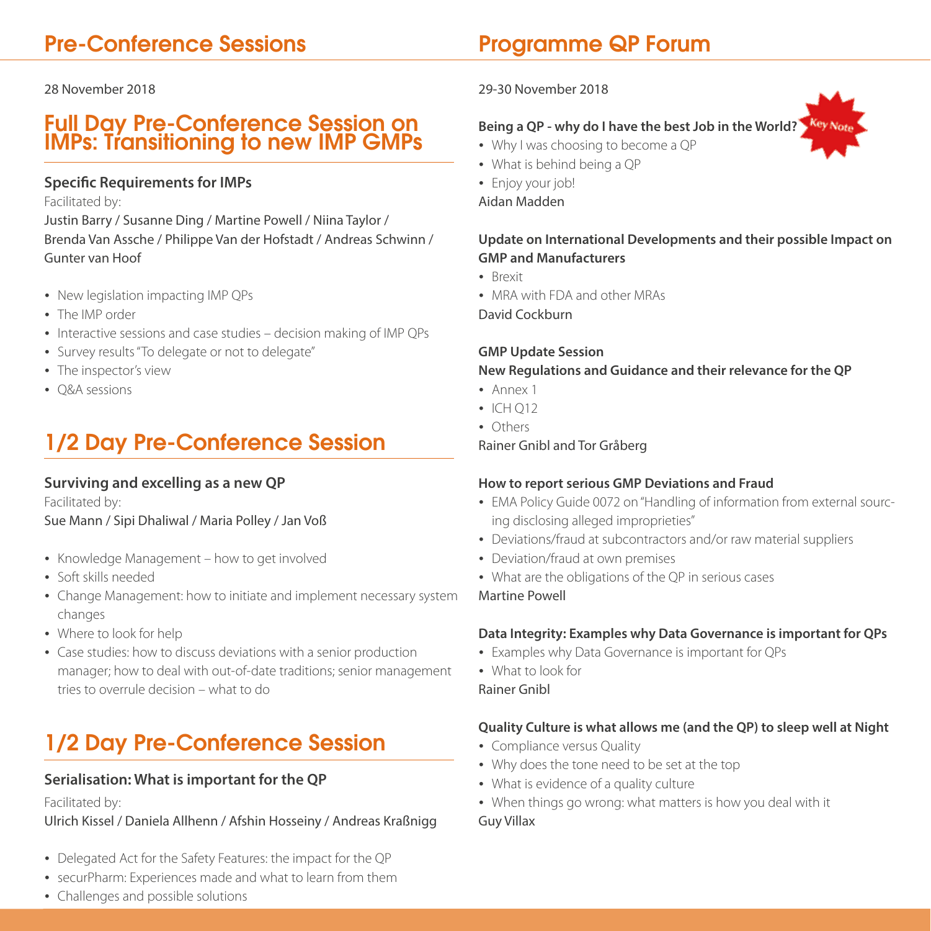### Pre-Conference Sessions

28 November 2018

### Full Day Pre-Conference Session on IMPs: Transitioning to new IMP GMPs

#### **Specific Requirements for IMPs**

Facilitated by:

Justin Barry / Susanne Ding / Martine Powell / Niina Taylor / Brenda Van Assche / Philippe Van der Hofstadt / Andreas Schwinn / Gunter van Hoof

- New legislation impacting IMP QPs
- The IMP order
- Interactive sessions and case studies decision making of IMP QPs
- Survey results "To delegate or not to delegate"
- The inspector's view
- O&A sessions

# 1/2 Day Pre-Conference Session

#### **Surviving and excelling as a new QP**

Facilitated by:

Sue Mann / Sipi Dhaliwal / Maria Polley / Jan Voß

- Knowledge Management how to get involved
- Soft skills needed
- Change Management: how to initiate and implement necessary system changes
- Where to look for help
- Case studies: how to discuss deviations with a senior production manager; how to deal with out-of-date traditions; senior management tries to overrule decision – what to do

## 1/2 Day Pre-Conference Session

#### **Serialisation: What is important for the QP**

Facilitated by:

Ulrich Kissel / Daniela Allhenn / Afshin Hosseiny / Andreas Kraßnigg

- Delegated Act for the Safety Features: the impact for the QP
- securPharm: Experiences made and what to learn from them
- Challenges and possible solutions

### Programme QP Forum

#### 29-30 November 2018

#### **Being a QP - why do I have the best Job in the World?**

- Why I was choosing to become a QP
- What is behind being a QP
- Enjoy your job!

Aidan Madden

#### **Update on International Developments and their possible Impact on GMP and Manufacturers**

- **Brexit**
- MRA with FDA and other MRAs

David Cockburn

### **GMP Update Session**

#### **New Regulations and Guidance and their relevance for the QP**

- Annex 1
- $\cdot$  ICH Q12
- Others

Rainer Gnibl and Tor Gråberg

#### **How to report serious GMP Deviations and Fraud**

- EMA Policy Guide 0072 on "Handling of information from external sourcing disclosing alleged improprieties"
- Deviations/fraud at subcontractors and/or raw material suppliers
- Deviation/fraud at own premises
- What are the obligations of the QP in serious cases

Martine Powell

#### **Data Integrity: Examples why Data Governance is important for QPs**

- Examples why Data Governance is important for QPs
- What to look for

Rainer Gnibl

#### **Quality Culture is what allows me (and the QP) to sleep well at Night**

- Compliance versus Quality
- Why does the tone need to be set at the top
- What is evidence of a quality culture
- When things go wrong: what matters is how you deal with it Guy Villax

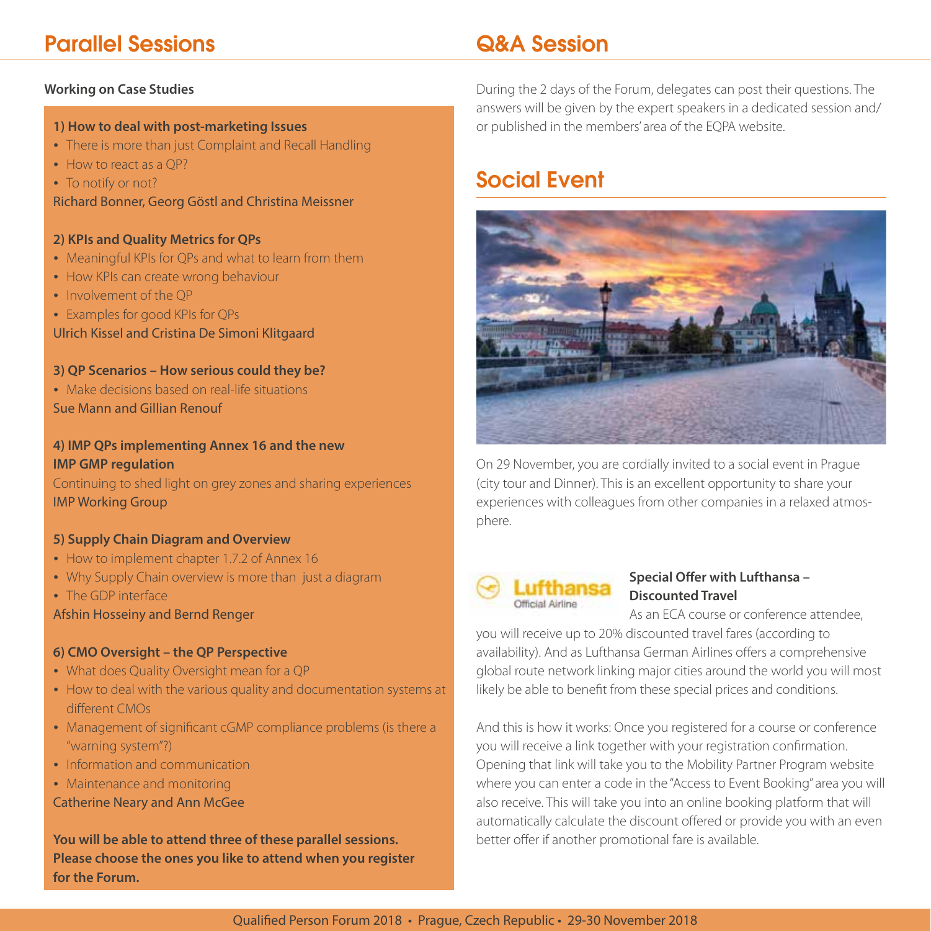### Parallel Sessions

#### **Working on Case Studies**

#### **1) How to deal with post-marketing Issues**

- There is more than just Complaint and Recall Handling
- How to react as a OP?
- To notify or not?

Richard Bonner, Georg Göstl and Christina Meissner

#### **2) KPIs and Quality Metrics for QPs**

- Meaningful KPIs for QPs and what to learn from them
- How KPIs can create wrong behaviour
- Involvement of the OP
- Examples for good KPIs for QPs

Ulrich Kissel and Cristina De Simoni Klitgaard

#### **3) QP Scenarios – How serious could they be?**

 Make decisions based on real-life situations Sue Mann and Gillian Renouf

#### **4) IMP QPs implementing Annex 16 and the new IMP GMP regulation**

Continuing to shed light on grey zones and sharing experiences IMP Working Group

#### **5) Supply Chain Diagram and Overview**

- How to implement chapter 1.7.2 of Annex 16
- Why Supply Chain overview is more than just a diagram
- The GDP interface

#### Afshin Hosseiny and Bernd Renger

#### **6) CMO Oversight – the QP Perspective**

- What does Quality Oversight mean for a QP
- How to deal with the various quality and documentation systems at different CMOs
- Management of significant cGMP compliance problems (is there a "warning system"?)
- Information and communication
- Maintenance and monitoring

Catherine Neary and Ann McGee

**You will be able to attend three of these parallel sessions. Please choose the ones you like to attend when you register for the Forum.**

### Q&A Session

During the 2 days of the Forum, delegates can post their questions. The answers will be given by the expert speakers in a dedicated session and/ or published in the members' area of the EQPA website.

### Social Event



On 29 November, you are cordially invited to a social event in Prague (city tour and Dinner). This is an excellent opportunity to share your experiences with colleagues from other companies in a relaxed atmosphere.



#### **Special Offer with Lufthansa -Discounted Travel**

As an ECA course or conference attendee, you will receive up to 20% discounted travel fares (according to availability). And as Lufthansa German Airlines offers a comprehensive global route network linking major cities around the world you will most likely be able to benefit from these special prices and conditions.

And this is how it works: Once you registered for a course or conference you will receive a link together with your registration confirmation. Opening that link will take you to the Mobility Partner Program website where you can enter a code in the "Access to Event Booking" area you will also receive. This will take you into an online booking platform that will automatically calculate the discount offered or provide you with an even better offer if another promotional fare is available.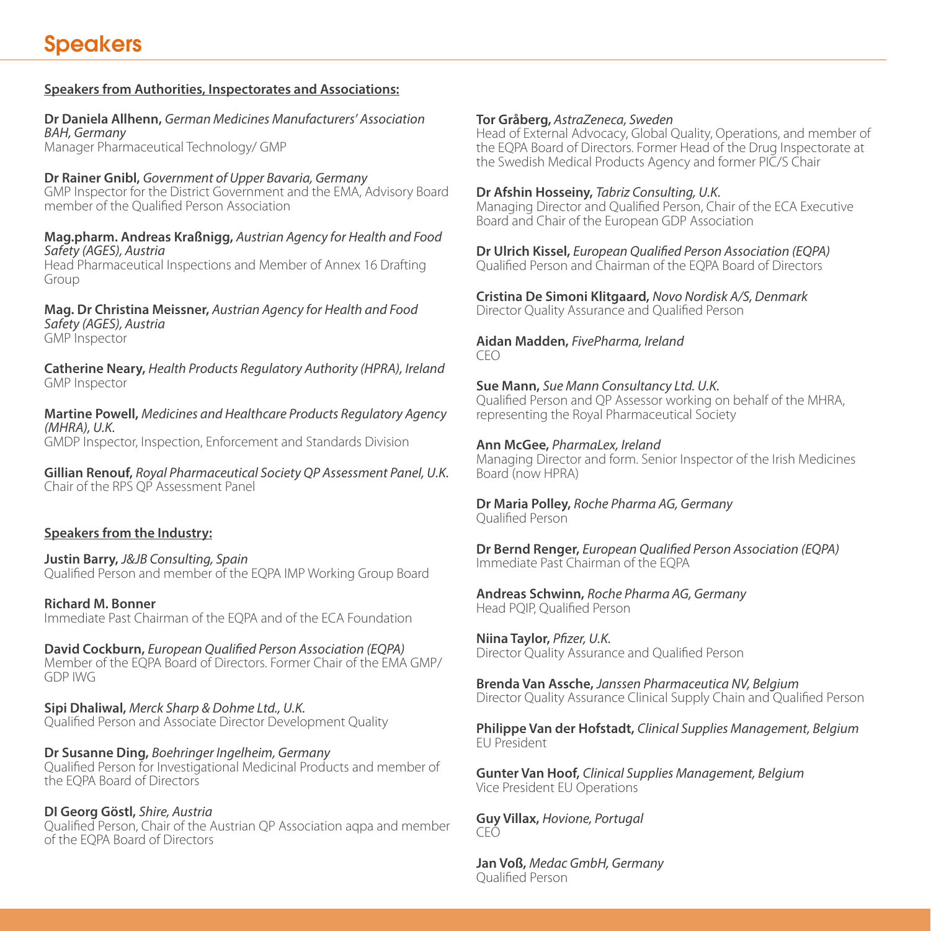#### **Speakers from Authorities, Inspectorates and Associations:**

**Dr Daniela Allhenn,** *German Medicines Manufacturers' Association BAH, Germany* Manager Pharmaceutical Technology/ GMP

**Dr Rainer Gnibl,** *Government of Upper Bavaria, Germany* GMP Inspector for the District Government and the EMA, Advisory Board member of the Qualified Person Association

**Mag.pharm. Andreas Kraßnigg,** *Austrian Agency for Health and Food Safety (AGES), Austria*

Head Pharmaceutical Inspections and Member of Annex 16 Drafting Group

**Mag. Dr Christina Meissner,** *Austrian Agency for Health and Food Safety (AGES), Austria* GMP Inspector

**Catherine Neary,** *Health Products Regulatory Authority (HPRA), Ireland* GMP Inspector

**Martine Powell,** *Medicines and Healthcare Products Regulatory Agency (MHRA), U.K.* GMDP Inspector, Inspection, Enforcement and Standards Division

**Gillian Renouf,** *Royal Pharmaceutical Society QP Assessment Panel, U.K.*  Chair of the RPS QP Assessment Panel

#### **Speakers from the Industry:**

**Justin Barry,** *J&JB Consulting, Spain* Qualified Person and member of the EQPA IMP Working Group Board

**Richard M. Bonner** Immediate Past Chairman of the EQPA and of the ECA Foundation

**David Cockburn,** *European Qualified Person Association (EQPA)* Member of the EQPA Board of Directors. Former Chair of the EMA GMP/ GDP IWG

**Sipi Dhaliwal,** *Merck Sharp & Dohme Ltd., U.K.* Qualified Person and Associate Director Development Quality

**Dr Susanne Ding,** *Boehringer Ingelheim, Germany* Qualified Person for Investigational Medicinal Products and member of the EQPA Board of Directors

**DI Georg Göstl,** *Shire, Austria* Qualified Person, Chair of the Austrian OP Association agpa and member of the EQPA Board of Directors

#### **Tor Gråberg,** *AstraZeneca, Sweden*

Head of External Advocacy, Global Quality, Operations, and member of the EQPA Board of Directors. Former Head of the Drug Inspectorate at the Swedish Medical Products Agency and former PIC/S Chair

#### **Dr Afshin Hosseiny,** *Tabriz Consulting, U.K.*

Managing Director and Qualified Person, Chair of the ECA Executive Board and Chair of the European GDP Association

**Dr Ulrich Kissel,** *European Qualified Person Association (EQPA)* Qualified Person and Chairman of the EOPA Board of Directors

**Cristina De Simoni Klitgaard,** *Novo Nordisk A/S, Denmark* Director Quality Assurance and Qualified Person

**Aidan Madden,** *FivePharma, Ireland* CEO

**Sue Mann,** *Sue Mann Consultancy Ltd. U.K.* Qualified Person and QP Assessor working on behalf of the MHRA, representing the Royal Pharmaceutical Society

**Ann McGee,** *PharmaLex, Ireland* Managing Director and form. Senior Inspector of the Irish Medicines Board (now HPRA)

**Dr Maria Polley,** *Roche Pharma AG, Germany* Qualified Person

**Dr Bernd Renger,** *European Qualified Person Association (EQPA)* Immediate Past Chairman of the EQPA

**Andreas Schwinn,** *Roche Pharma AG, Germany* Head PQIP, Qualified Person

**Niina Taylor,** *Pfizer***, U.K.** Director Quality Assurance and Qualified Person

**Brenda Van Assche,** *Janssen Pharmaceutica NV, Belgium* Director Quality Assurance Clinical Supply Chain and Qualified Person

**Philippe Van der Hofstadt,** *Clinical Supplies Management, Belgium* EU President

**Gunter Van Hoof,** *Clinical Supplies Management, Belgium* Vice President EU Operations

**Guy Villax,** *Hovione, Portugal* CEÓ

**Jan Voß,** *Medac GmbH, Germany* Qualified Person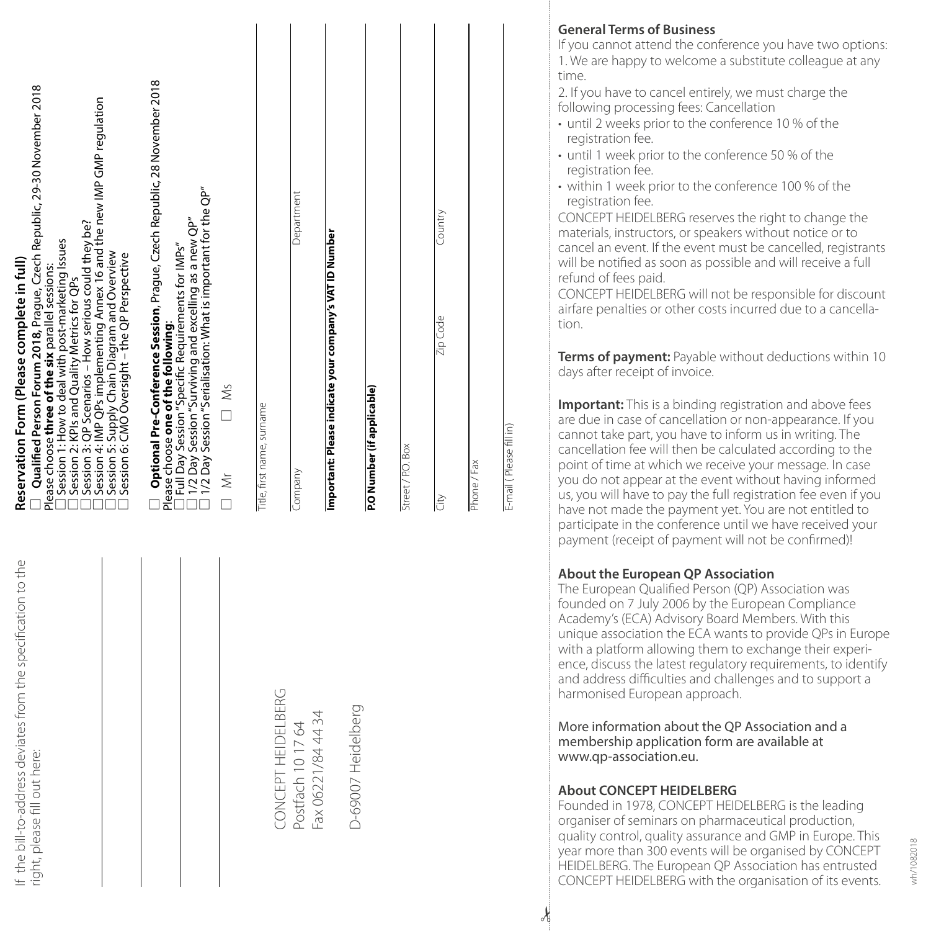| Qualified Person Forum 2018, Prague, Czech Republic, 29-30 November 2018<br>Session 4: IMP QPs implementing Annex 16 and the new IMP GMP regulation<br>Session 3: QP Scenarios - How serious could they be?<br>Session 1: How to deal with post-marketing Issues<br>Session 5: Supply Chain Diagram and Overview<br>Session 6: CMO Oversight - the QP Perspective<br>Reservation Form (Please complete in full)<br>Please choose three of the six parallel sessions:<br>Session 2: KPIs and Quality Metrics for QPs | Optional Pre-Conference Session, Prague, Czech Republic, 28 November 2018<br>1/2 Day Session "Surviving and excelling as a new QP"<br>1/2 Day Session "Serialisation: What is important for the QP"<br>Full Day Session "Specific Requirements for IMPs"<br>Please choose one of the following:<br>$\overline{\square}$ Ms<br>$\breve{\equiv}$ | Title, first name, surname     | Department<br>Company                   | Important: Please indicate your company's VAT ID Number | P.O Number (if applicable) | Street / P.O. Box | Country<br>Zip Code<br>lči | Phone / Fax | E-mail (Please fill in) |
|---------------------------------------------------------------------------------------------------------------------------------------------------------------------------------------------------------------------------------------------------------------------------------------------------------------------------------------------------------------------------------------------------------------------------------------------------------------------------------------------------------------------|------------------------------------------------------------------------------------------------------------------------------------------------------------------------------------------------------------------------------------------------------------------------------------------------------------------------------------------------|--------------------------------|-----------------------------------------|---------------------------------------------------------|----------------------------|-------------------|----------------------------|-------------|-------------------------|
| rom the specification to the<br>f the bill-to-address deviates<br>right, please fill out here:                                                                                                                                                                                                                                                                                                                                                                                                                      |                                                                                                                                                                                                                                                                                                                                                | <b>IERG</b><br>CONCEPT HEIDELB | Postfach 10 17 64<br>Fax 06221/84 44 34 |                                                         | D-69007 Heidelberg         |                   |                            |             |                         |

#### **General Terms of Business**

If you cannot attend the conference you have two options: 1. We are happy to welcome a substitute colleague at any time.

2. If you have to cancel entirely, we must charge the following processing fees: Cancellation

- until 2 weeks prior to the conference 10 % of the registration fee.
- until 1 week prior to the conference 50 % of the registration fee.
- within 1 week prior to the conference 100 % of the registration fee.

CONCEPT HEIDELBERG reserves the right to change the materials, instructors, or speakers without notice or to cancel an event. If the event must be cancelled, registrants will be notified as soon as possible and will receive a full refund of fees paid.

CONCEPT HEIDELBERG will not be responsible for discount airfare penalties or other costs incurred due to a cancella tion.

**Terms of payment:** Payable without deductions within 10 days after receipt of invoice.

**Important:** This is a binding registration and above fees are due in case of cancellation or non-appearance. If you cannot take part, you have to inform us in writing. The cancellation fee will then be calculated according to the point of time at which we receive your message. In case you do not appear at the event without having informed us, you will have to pay the full registration fee even if you have not made the payment yet. You are not entitled to participate in the conference until we have received your payment (receipt of payment will not be confirmed)!

#### **About the European QP Association**

The European Qualified Person (QP) Association was founded on 7 July 2006 by the European Compliance Academy's (ECA) Advisory Board Members. With this unique association the ECA wants to provide QPs in Europe with a platform allowing them to exchange their experi ence, discuss the latest regulatory requirements, to identify and address difficulties and challenges and to support a harmonised European approach.

More information about the QP Association and a membership application form are available at www.qp-association.eu.

#### **About CONCEPT HEIDELBERG**

 $\lambda$ 

Founded in 1978, CONCEPT HEIDELBERG is the leading organiser of seminars on pharmaceutical production, quality control, quality assurance and GMP in Europe. This year more than 300 events will be organised by CONCEPT HEIDELBERG. The European QP Association has entrusted CONCEPT HEIDELBERG with the organisation of its events.